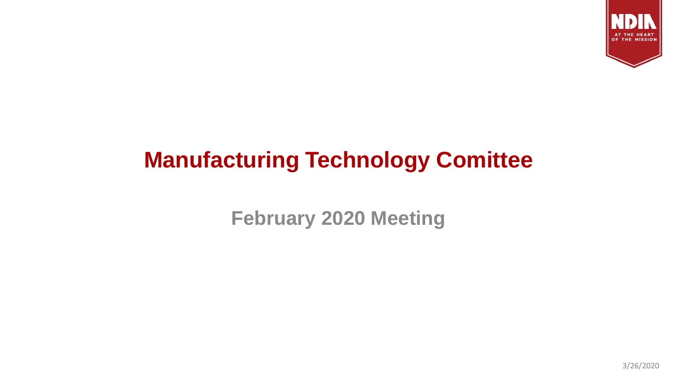

# **Manufacturing Technology Comittee**

**February 2020 Meeting**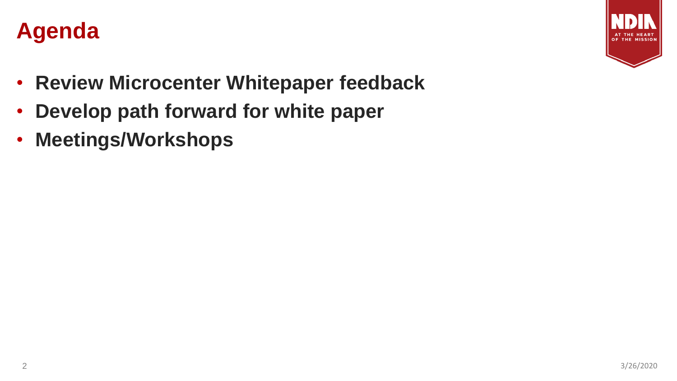



- **Review Microcenter Whitepaper feedback**
- **Develop path forward for white paper**
- **Meetings/Workshops**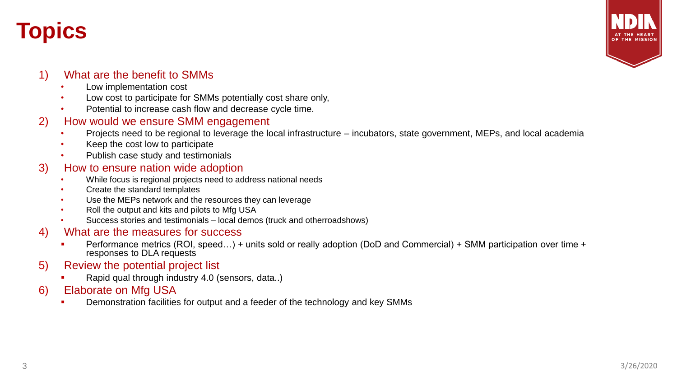### **Topics**



#### 1) What are the benefit to SMMs

- Low implementation cost
- Low cost to participate for SMMs potentially cost share only,
- Potential to increase cash flow and decrease cycle time.

#### 2) How would we ensure SMM engagement

- Projects need to be regional to leverage the local infrastructure incubators, state government, MEPs, and local academia
- Keep the cost low to participate
- Publish case study and testimonials

#### 3) How to ensure nation wide adoption

- While focus is regional projects need to address national needs
- Create the standard templates
- Use the MEPs network and the resources they can leverage
- Roll the output and kits and pilots to Mfg USA
- Success stories and testimonials local demos (truck and otherroadshows)

#### 4) What are the measures for success

- Performance metrics (ROI, speed...) + units sold or really adoption (DoD and Commercial) + SMM participation over time + responses to DLA requests
- 5) Review the potential project list
	- Rapid qual through industry 4.0 (sensors, data..)
- 6) Elaborate on Mfg USA
	- Demonstration facilities for output and a feeder of the technology and key SMMs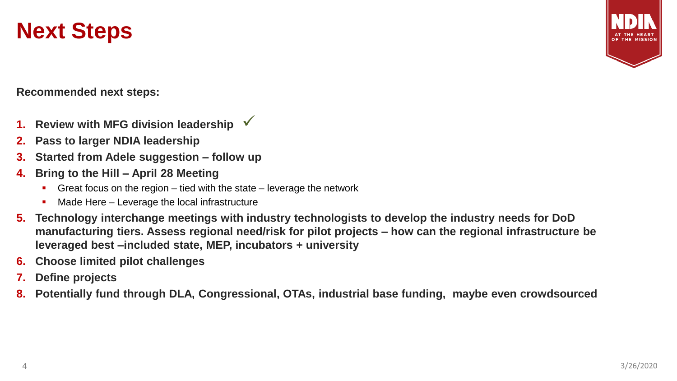### **Next Steps**



**Recommended next steps:** 

- **1.** Review with MFG division leadership √
- **2. Pass to larger NDIA leadership**
- **3. Started from Adele suggestion – follow up**
- **4. Bring to the Hill – April 28 Meeting**
	- **•** Great focus on the region tied with the state leverage the network
	- Made Here  $-$  Leverage the local infrastructure
- **5. Technology interchange meetings with industry technologists to develop the industry needs for DoD manufacturing tiers. Assess regional need/risk for pilot projects – how can the regional infrastructure be leveraged best –included state, MEP, incubators + university**
- **6. Choose limited pilot challenges**
- **7. Define projects**
- **8. Potentially fund through DLA, Congressional, OTAs, industrial base funding, maybe even crowdsourced**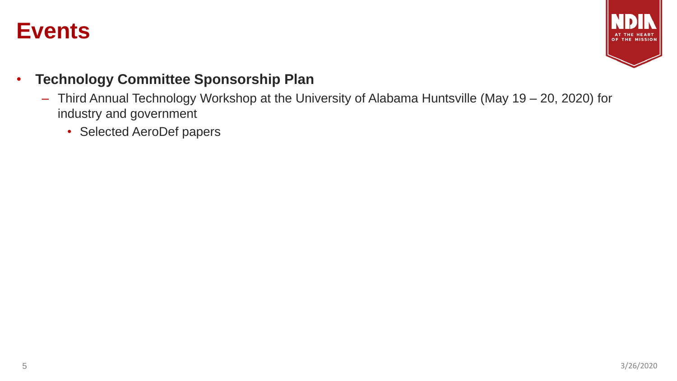### **Events**



- **Technology Committee Sponsorship Plan**
	- Third Annual Technology Workshop at the University of Alabama Huntsville (May 19 20, 2020) for industry and government
		- Selected AeroDef papers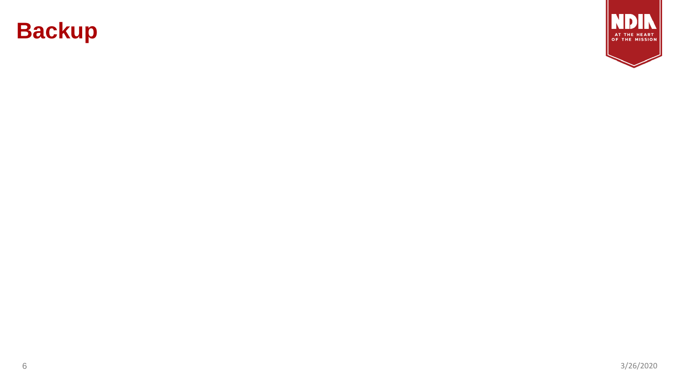

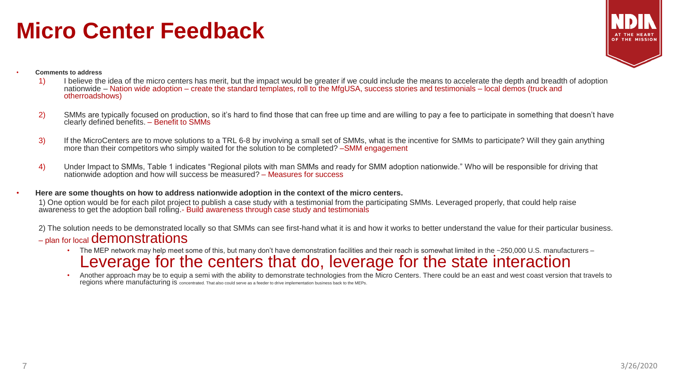### **Micro Center Feedback**



- **Comments to address**
	- 1) I believe the idea of the micro centers has merit, but the impact would be greater if we could include the means to accelerate the depth and breadth of adoption nationwide – Nation wide adoption – create the standard templates, roll to the MfgUSA, success stories and testimonials – local demos (truck and otherroadshows)
	- 2) SMMs are typically focused on production, so it's hard to find those that can free up time and are willing to pay a fee to participate in something that doesn't have clearly defined benefits. – Benefit to SMMs
	- 3) If the MicroCenters are to move solutions to a TRL 6-8 by involving a small set of SMMs, what is the incentive for SMMs to participate? Will they gain anything more than their competitors who simply waited for the solution to be completed? –SMM engagement
	- 4) Under Impact to SMMs, Table 1 indicates "Regional pilots with man SMMs and ready for SMM adoption nationwide." Who will be responsible for driving that nationwide adoption and how will success be measured? – Measures for success
- **Here are some thoughts on how to address nationwide adoption in the context of the micro centers.** 1) One option would be for each pilot project to publish a case study with a testimonial from the participating SMMs. Leveraged properly, that could help raise awareness to get the adoption ball rolling.- Build awareness through case study and testimonials

2) The solution needs to be demonstrated locally so that SMMs can see first-hand what it is and how it works to better understand the value for their particular business. – plan for local demonstrations

- The MEP network may help meet some of this, but many don't have demonstration facilities and their reach is somewhat limited in the ~250,000 U.S. manufacturers Leverage for the centers that do, leverage for the state interaction
- Another approach may be to equip a semi with the ability to demonstrate technologies from the Micro Centers. There could be an east and west coast version that travels to regions where manufacturing is concentrated. That also could serve as a feeder to drive implementation business back to the MEPs.